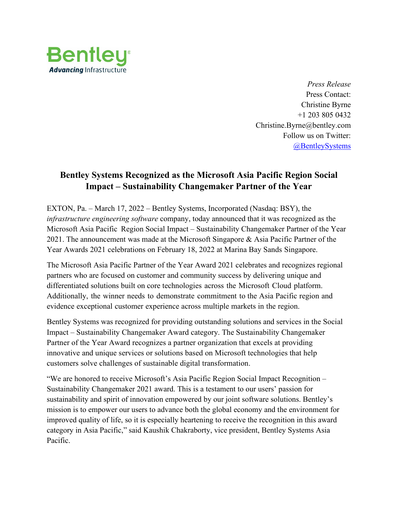

*Press Release* Press Contact: Christine Byrne +1 203 805 0432 Christine.Byrne@bentley.com Follow us on Twitter: [@BentleySystems](http://twitter.com/BentleySystems)

## **Bentley Systems Recognized as the Microsoft Asia Pacific Region Social Impact – Sustainability Changemaker Partner of the Year**

EXTON, Pa. – March 17, 2022 – Bentley Systems, Incorporated (Nasdaq: BSY), the *infrastructure engineering software* company, today announced that it was recognized as the Microsoft Asia Pacific Region Social Impact – Sustainability Changemaker Partner of the Year 2021. The announcement was made at the Microsoft Singapore & Asia Pacific Partner of the Year Awards 2021 celebrations on February 18, 2022 at Marina Bay Sands Singapore.

The Microsoft Asia Pacific Partner of the Year Award 2021 celebrates and recognizes regional partners who are focused on customer and community success by delivering unique and differentiated solutions built on core technologies across the Microsoft Cloud platform. Additionally, the winner needs to demonstrate commitment to the Asia Pacific region and evidence exceptional customer experience across multiple markets in the region.

Bentley Systems was recognized for providing outstanding solutions and services in the Social Impact – Sustainability Changemaker Award category. The Sustainability Changemaker Partner of the Year Award recognizes a partner organization that excels at providing innovative and unique services or solutions based on Microsoft technologies that help customers solve challenges of sustainable digital transformation.

"We are honored to receive Microsoft's Asia Pacific Region Social Impact Recognition – Sustainability Changemaker 2021 award. This is a testament to our users' passion for sustainability and spirit of innovation empowered by our joint software solutions. Bentley's mission is to empower our users to advance both the global economy and the environment for improved quality of life, so it is especially heartening to receive the recognition in this award category in Asia Pacific," said Kaushik Chakraborty, vice president, Bentley Systems Asia Pacific.